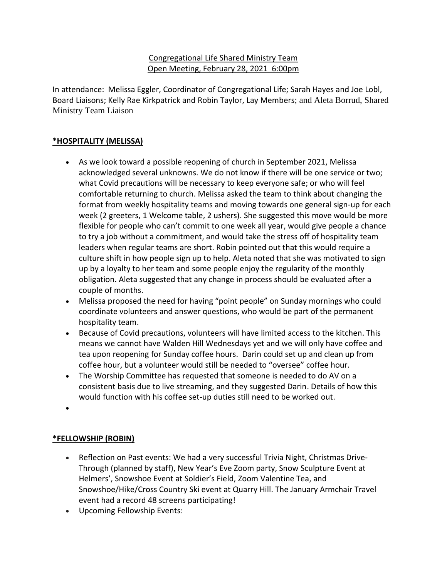# Congregational Life Shared Ministry Team Open Meeting, February 28, 2021 6:00pm

In attendance: Melissa Eggler, Coordinator of Congregational Life; Sarah Hayes and Joe Lobl, Board Liaisons; Kelly Rae Kirkpatrick and Robin Taylor, Lay Members; and Aleta Borrud, Shared Ministry Team Liaison

# **\*HOSPITALITY (MELISSA)**

- As we look toward a possible reopening of church in September 2021, Melissa acknowledged several unknowns. We do not know if there will be one service or two; what Covid precautions will be necessary to keep everyone safe; or who will feel comfortable returning to church. Melissa asked the team to think about changing the format from weekly hospitality teams and moving towards one general sign-up for each week (2 greeters, 1 Welcome table, 2 ushers). She suggested this move would be more flexible for people who can't commit to one week all year, would give people a chance to try a job without a commitment, and would take the stress off of hospitality team leaders when regular teams are short. Robin pointed out that this would require a culture shift in how people sign up to help. Aleta noted that she was motivated to sign up by a loyalty to her team and some people enjoy the regularity of the monthly obligation. Aleta suggested that any change in process should be evaluated after a couple of months.
- Melissa proposed the need for having "point people" on Sunday mornings who could coordinate volunteers and answer questions, who would be part of the permanent hospitality team.
- Because of Covid precautions, volunteers will have limited access to the kitchen. This means we cannot have Walden Hill Wednesdays yet and we will only have coffee and tea upon reopening for Sunday coffee hours. Darin could set up and clean up from coffee hour, but a volunteer would still be needed to "oversee" coffee hour.
- The Worship Committee has requested that someone is needed to do AV on a consistent basis due to live streaming, and they suggested Darin. Details of how this would function with his coffee set-up duties still need to be worked out.
- •

## **\*FELLOWSHIP (ROBIN)**

- Reflection on Past events: We had a very successful Trivia Night, Christmas Drive-Through (planned by staff), New Year's Eve Zoom party, Snow Sculpture Event at Helmers', Snowshoe Event at Soldier's Field, Zoom Valentine Tea, and Snowshoe/Hike/Cross Country Ski event at Quarry Hill. The January Armchair Travel event had a record 48 screens participating!
- Upcoming Fellowship Events: